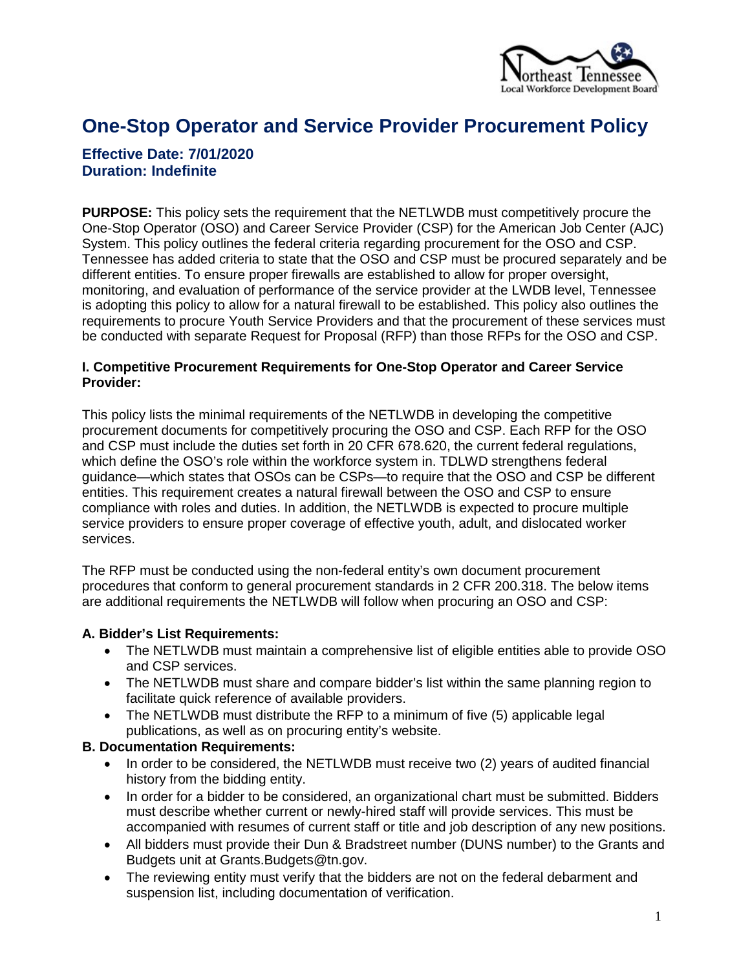

# **One-Stop Operator and Service Provider Procurement Policy**

# **Effective Date: 7/01/2020 Duration: Indefinite**

**PURPOSE:** This policy sets the requirement that the NETLWDB must competitively procure the One-Stop Operator (OSO) and Career Service Provider (CSP) for the American Job Center (AJC) System. This policy outlines the federal criteria regarding procurement for the OSO and CSP. Tennessee has added criteria to state that the OSO and CSP must be procured separately and be different entities. To ensure proper firewalls are established to allow for proper oversight, monitoring, and evaluation of performance of the service provider at the LWDB level, Tennessee is adopting this policy to allow for a natural firewall to be established. This policy also outlines the requirements to procure Youth Service Providers and that the procurement of these services must be conducted with separate Request for Proposal (RFP) than those RFPs for the OSO and CSP.

#### **I. Competitive Procurement Requirements for One-Stop Operator and Career Service Provider:**

This policy lists the minimal requirements of the NETLWDB in developing the competitive procurement documents for competitively procuring the OSO and CSP. Each RFP for the OSO and CSP must include the duties set forth in 20 CFR 678.620, the current federal regulations, which define the OSO's role within the workforce system in. TDLWD strengthens federal guidance—which states that OSOs can be CSPs—to require that the OSO and CSP be different entities. This requirement creates a natural firewall between the OSO and CSP to ensure compliance with roles and duties. In addition, the NETLWDB is expected to procure multiple service providers to ensure proper coverage of effective youth, adult, and dislocated worker services.

The RFP must be conducted using the non-federal entity's own document procurement procedures that conform to general procurement standards in 2 CFR 200.318. The below items are additional requirements the NETLWDB will follow when procuring an OSO and CSP:

### **A. Bidder's List Requirements:**

- The NETLWDB must maintain a comprehensive list of eligible entities able to provide OSO and CSP services.
- The NETLWDB must share and compare bidder's list within the same planning region to facilitate quick reference of available providers.
- The NETLWDB must distribute the RFP to a minimum of five (5) applicable legal publications, as well as on procuring entity's website.

### **B. Documentation Requirements:**

- In order to be considered, the NETLWDB must receive two (2) years of audited financial history from the bidding entity.
- In order for a bidder to be considered, an organizational chart must be submitted. Bidders must describe whether current or newly-hired staff will provide services. This must be accompanied with resumes of current staff or title and job description of any new positions.
- All bidders must provide their Dun & Bradstreet number (DUNS number) to the Grants and Budgets unit at Grants.Budgets@tn.gov.
- The reviewing entity must verify that the bidders are not on the federal debarment and suspension list, including documentation of verification.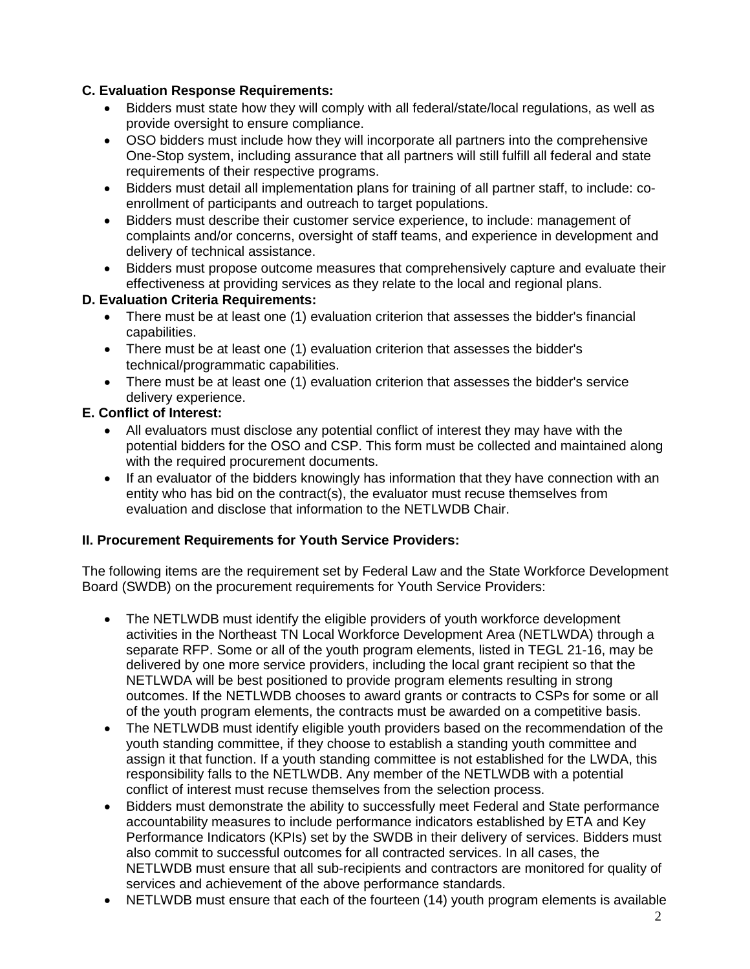# **C. Evaluation Response Requirements:**

- Bidders must state how they will comply with all federal/state/local regulations, as well as provide oversight to ensure compliance.
- OSO bidders must include how they will incorporate all partners into the comprehensive One-Stop system, including assurance that all partners will still fulfill all federal and state requirements of their respective programs.
- Bidders must detail all implementation plans for training of all partner staff, to include: coenrollment of participants and outreach to target populations.
- Bidders must describe their customer service experience, to include: management of complaints and/or concerns, oversight of staff teams, and experience in development and delivery of technical assistance.
- Bidders must propose outcome measures that comprehensively capture and evaluate their effectiveness at providing services as they relate to the local and regional plans.

# **D. Evaluation Criteria Requirements:**

- There must be at least one (1) evaluation criterion that assesses the bidder's financial capabilities.
- There must be at least one (1) evaluation criterion that assesses the bidder's technical/programmatic capabilities.
- There must be at least one (1) evaluation criterion that assesses the bidder's service delivery experience.

# **E. Conflict of Interest:**

- All evaluators must disclose any potential conflict of interest they may have with the potential bidders for the OSO and CSP. This form must be collected and maintained along with the required procurement documents.
- If an evaluator of the bidders knowingly has information that they have connection with an entity who has bid on the contract(s), the evaluator must recuse themselves from evaluation and disclose that information to the NETLWDB Chair.

# **II. Procurement Requirements for Youth Service Providers:**

The following items are the requirement set by Federal Law and the State Workforce Development Board (SWDB) on the procurement requirements for Youth Service Providers:

- The NETLWDB must identify the eligible providers of youth workforce development activities in the Northeast TN Local Workforce Development Area (NETLWDA) through a separate RFP. Some or all of the youth program elements, listed in TEGL 21-16, may be delivered by one more service providers, including the local grant recipient so that the NETLWDA will be best positioned to provide program elements resulting in strong outcomes. If the NETLWDB chooses to award grants or contracts to CSPs for some or all of the youth program elements, the contracts must be awarded on a competitive basis.
- The NETLWDB must identify eligible youth providers based on the recommendation of the youth standing committee, if they choose to establish a standing youth committee and assign it that function. If a youth standing committee is not established for the LWDA, this responsibility falls to the NETLWDB. Any member of the NETLWDB with a potential conflict of interest must recuse themselves from the selection process.
- Bidders must demonstrate the ability to successfully meet Federal and State performance accountability measures to include performance indicators established by ETA and Key Performance Indicators (KPIs) set by the SWDB in their delivery of services. Bidders must also commit to successful outcomes for all contracted services. In all cases, the NETLWDB must ensure that all sub-recipients and contractors are monitored for quality of services and achievement of the above performance standards.
- NETLWDB must ensure that each of the fourteen (14) youth program elements is available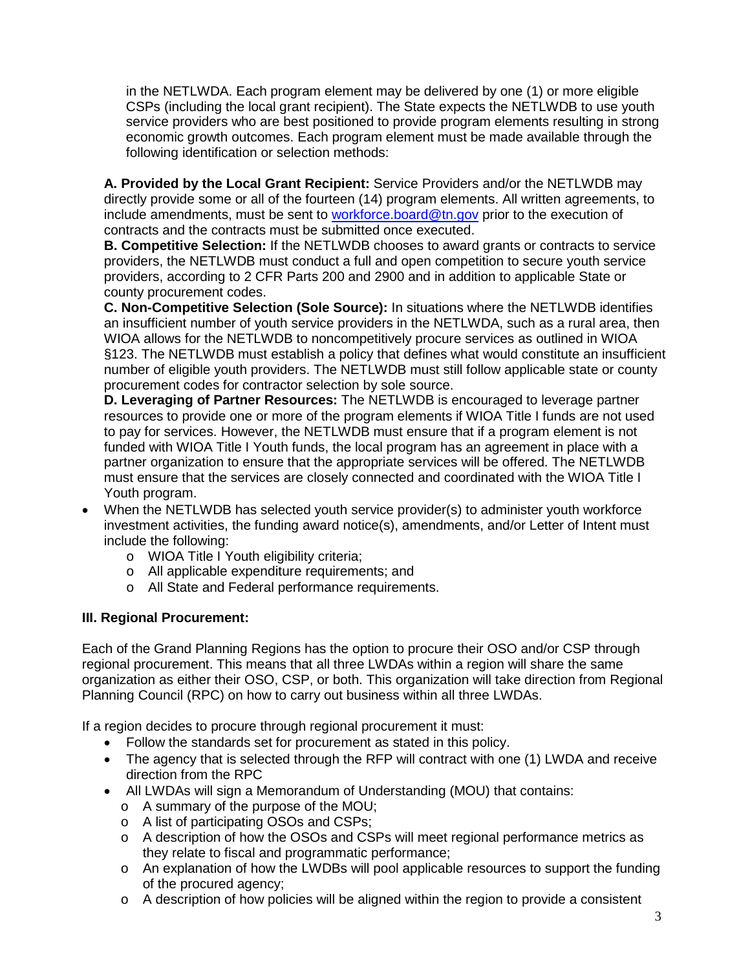in the NETLWDA. Each program element may be delivered by one (1) or more eligible CSPs (including the local grant recipient). The State expects the NETLWDB to use youth service providers who are best positioned to provide program elements resulting in strong economic growth outcomes. Each program element must be made available through the following identification or selection methods:

**A. Provided by the Local Grant Recipient:** Service Providers and/or the NETLWDB may directly provide some or all of the fourteen (14) program elements. All written agreements, to include amendments, must be sent to [workforce.board@tn.gov](mailto:workforce.board@tn.gov) prior to the execution of contracts and the contracts must be submitted once executed.

**B. Competitive Selection:** If the NETLWDB chooses to award grants or contracts to service providers, the NETLWDB must conduct a full and open competition to secure youth service providers, according to 2 CFR Parts 200 and 2900 and in addition to applicable State or county procurement codes.

**C. Non-Competitive Selection (Sole Source):** In situations where the NETLWDB identifies an insufficient number of youth service providers in the NETLWDA, such as a rural area, then WIOA allows for the NETLWDB to noncompetitively procure services as outlined in WIOA §123. The NETLWDB must establish a policy that defines what would constitute an insufficient number of eligible youth providers. The NETLWDB must still follow applicable state or county procurement codes for contractor selection by sole source.

**D. Leveraging of Partner Resources:** The NETLWDB is encouraged to leverage partner resources to provide one or more of the program elements if WIOA Title I funds are not used to pay for services. However, the NETLWDB must ensure that if a program element is not funded with WIOA Title I Youth funds, the local program has an agreement in place with a partner organization to ensure that the appropriate services will be offered. The NETLWDB must ensure that the services are closely connected and coordinated with the WIOA Title I Youth program.

- When the NETLWDB has selected youth service provider(s) to administer youth workforce investment activities, the funding award notice(s), amendments, and/or Letter of Intent must include the following:
	- o WIOA Title I Youth eligibility criteria;
	- o All applicable expenditure requirements; and
	- o All State and Federal performance requirements.

# **III. Regional Procurement:**

Each of the Grand Planning Regions has the option to procure their OSO and/or CSP through regional procurement. This means that all three LWDAs within a region will share the same organization as either their OSO, CSP, or both. This organization will take direction from Regional Planning Council (RPC) on how to carry out business within all three LWDAs.

If a region decides to procure through regional procurement it must:

- Follow the standards set for procurement as stated in this policy.
- The agency that is selected through the RFP will contract with one (1) LWDA and receive direction from the RPC
- All LWDAs will sign a Memorandum of Understanding (MOU) that contains:
	- o A summary of the purpose of the MOU;
	- o A list of participating OSOs and CSPs;
	- o A description of how the OSOs and CSPs will meet regional performance metrics as they relate to fiscal and programmatic performance;
	- o An explanation of how the LWDBs will pool applicable resources to support the funding of the procured agency;
	- $\circ$  A description of how policies will be aligned within the region to provide a consistent